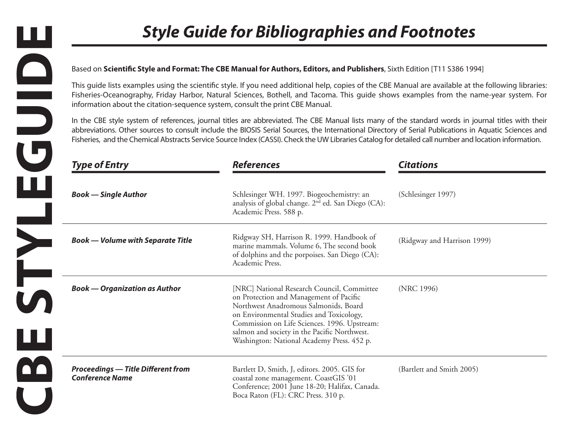## Based on **Scientific Style and Format: The CBE Manual for Authors, Editors, and Publishers**, Sixth Edition [T11 S386 1994]

|                                                                               | Based on Scientific Style and Format: The CBE Manual for Authors, Editors, and Publishers, Sixth Edition [T11 S386 1994]                                                                                                                                                                                                                                                                                                                                              |                             |
|-------------------------------------------------------------------------------|-----------------------------------------------------------------------------------------------------------------------------------------------------------------------------------------------------------------------------------------------------------------------------------------------------------------------------------------------------------------------------------------------------------------------------------------------------------------------|-----------------------------|
| information about the citation-sequence system, consult the print CBE Manual. | This guide lists examples using the scientific style. If you need additional help, copies of the CBE Manual are available at the following libraries:<br>Fisheries-Oceanography, Friday Harbor, Natural Sciences, Bothell, and Tacoma. This guide shows examples from the name-year system. For                                                                                                                                                                       |                             |
|                                                                               | In the CBE style system of references, journal titles are abbreviated. The CBE Manual lists many of the standard words in journal titles with their<br>abbreviations. Other sources to consult include the BIOSIS Serial Sources, the International Directory of Serial Publications in Aquatic Sciences and<br>Fisheries, and the Chemical Abstracts Service Source Index (CASSI). Check the UW Libraries Catalog for detailed call number and location information. |                             |
| <b>Type of Entry</b>                                                          | <b>References</b>                                                                                                                                                                                                                                                                                                                                                                                                                                                     | <b>Citations</b>            |
| <b>Book</b> — Single Author                                                   | Schlesinger WH. 1997. Biogeochemistry: an<br>analysis of global change. 2 <sup>nd</sup> ed. San Diego (CA):<br>Academic Press. 588 p.                                                                                                                                                                                                                                                                                                                                 | (Schlesinger 1997)          |
| <b>Book — Volume with Separate Title</b>                                      | Ridgway SH, Harrison R. 1999. Handbook of<br>marine mammals. Volume 6, The second book<br>of dolphins and the porpoises. San Diego (CA):<br>Academic Press.                                                                                                                                                                                                                                                                                                           | (Ridgway and Harrison 1999) |
| <b>Book — Organization as Author</b>                                          | [NRC] National Research Council, Committee<br>on Protection and Management of Pacific<br>Northwest Anadromous Salmonids, Board<br>on Environmental Studies and Toxicology,<br>Commission on Life Sciences. 1996. Upstream:<br>salmon and society in the Pacific Northwest.<br>Washington: National Academy Press. 452 p.                                                                                                                                              | (NRC 1996)                  |
| <b>Proceedings - Title Different from</b><br><b>Conference Name</b>           | Bartlett D, Smith, J, editors. 2005. GIS for<br>coastal zone management. CoastGIS '01<br>Conference; 2001 June 18-20; Halifax, Canada.<br>Boca Raton (FL): CRC Press. 310 p.                                                                                                                                                                                                                                                                                          | (Bartlett and Smith 2005)   |